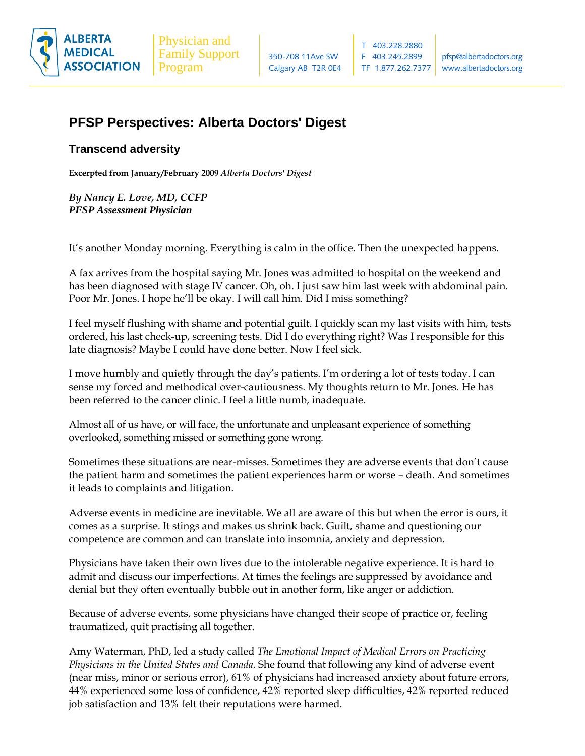

# **PFSP Perspectives: Alberta Doctors' Digest**

## **Transcend adversity**

**Excerpted from January/February 2009** *Alberta Doctors' Digest*

*By Nancy E. Love, MD, CCFP PFSP Assessment Physician* 

It's another Monday morning. Everything is calm in the office. Then the unexpected happens.

A fax arrives from the hospital saying Mr. Jones was admitted to hospital on the weekend and has been diagnosed with stage IV cancer. Oh, oh. I just saw him last week with abdominal pain. Poor Mr. Jones. I hope he'll be okay. I will call him. Did I miss something?

I feel myself flushing with shame and potential guilt. I quickly scan my last visits with him, tests ordered, his last check-up, screening tests. Did I do everything right? Was I responsible for this late diagnosis? Maybe I could have done better. Now I feel sick.

I move humbly and quietly through the day's patients. I'm ordering a lot of tests today. I can sense my forced and methodical over-cautiousness. My thoughts return to Mr. Jones. He has been referred to the cancer clinic. I feel a little numb, inadequate.

Almost all of us have, or will face, the unfortunate and unpleasant experience of something overlooked, something missed or something gone wrong.

Sometimes these situations are near-misses. Sometimes they are adverse events that don't cause the patient harm and sometimes the patient experiences harm or worse – death. And sometimes it leads to complaints and litigation.

Adverse events in medicine are inevitable. We all are aware of this but when the error is ours, it comes as a surprise. It stings and makes us shrink back. Guilt, shame and questioning our competence are common and can translate into insomnia, anxiety and depression.

Physicians have taken their own lives due to the intolerable negative experience. It is hard to admit and discuss our imperfections. At times the feelings are suppressed by avoidance and denial but they often eventually bubble out in another form, like anger or addiction.

Because of adverse events, some physicians have changed their scope of practice or, feeling traumatized, quit practising all together.

Amy Waterman, PhD, led a study called *The Emotional Impact of Medical Errors on Practicing Physicians in the United States and Canada.* She found that following any kind of adverse event (near miss, minor or serious error), 61% of physicians had increased anxiety about future errors, 44% experienced some loss of confidence, 42% reported sleep difficulties, 42% reported reduced job satisfaction and 13% felt their reputations were harmed.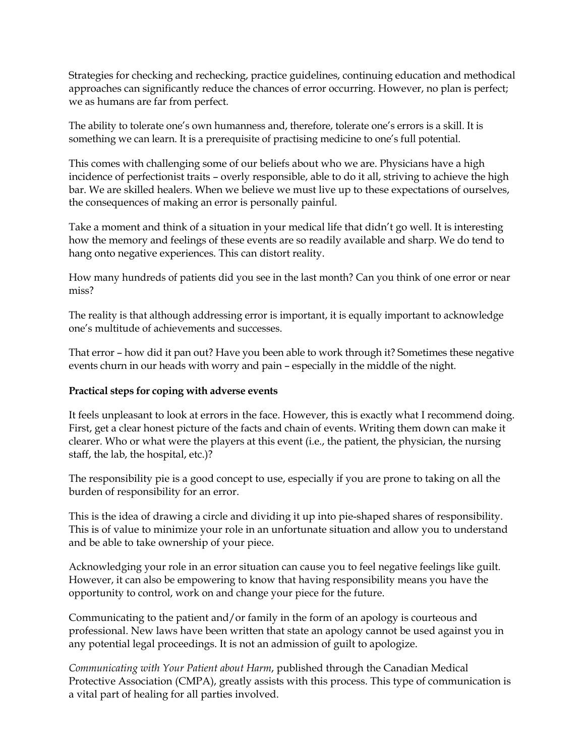Strategies for checking and rechecking, practice guidelines, continuing education and methodical approaches can significantly reduce the chances of error occurring. However, no plan is perfect; we as humans are far from perfect.

The ability to tolerate one's own humanness and, therefore, tolerate one's errors is a skill. It is something we can learn. It is a prerequisite of practising medicine to one's full potential.

This comes with challenging some of our beliefs about who we are. Physicians have a high incidence of perfectionist traits – overly responsible, able to do it all, striving to achieve the high bar. We are skilled healers. When we believe we must live up to these expectations of ourselves, the consequences of making an error is personally painful.

Take a moment and think of a situation in your medical life that didn't go well. It is interesting how the memory and feelings of these events are so readily available and sharp. We do tend to hang onto negative experiences. This can distort reality.

How many hundreds of patients did you see in the last month? Can you think of one error or near miss?

The reality is that although addressing error is important, it is equally important to acknowledge one's multitude of achievements and successes.

That error – how did it pan out? Have you been able to work through it? Sometimes these negative events churn in our heads with worry and pain – especially in the middle of the night.

## **Practical steps for coping with adverse events**

It feels unpleasant to look at errors in the face. However, this is exactly what I recommend doing. First, get a clear honest picture of the facts and chain of events. Writing them down can make it clearer. Who or what were the players at this event (i.e., the patient, the physician, the nursing staff, the lab, the hospital, etc.)?

The responsibility pie is a good concept to use, especially if you are prone to taking on all the burden of responsibility for an error.

This is the idea of drawing a circle and dividing it up into pie-shaped shares of responsibility. This is of value to minimize your role in an unfortunate situation and allow you to understand and be able to take ownership of your piece.

Acknowledging your role in an error situation can cause you to feel negative feelings like guilt. However, it can also be empowering to know that having responsibility means you have the opportunity to control, work on and change your piece for the future.

Communicating to the patient and/or family in the form of an apology is courteous and professional. New laws have been written that state an apology cannot be used against you in any potential legal proceedings. It is not an admission of guilt to apologize.

*Communicating with Your Patient about Harm*, published through the Canadian Medical Protective Association (CMPA), greatly assists with this process. This type of communication is a vital part of healing for all parties involved.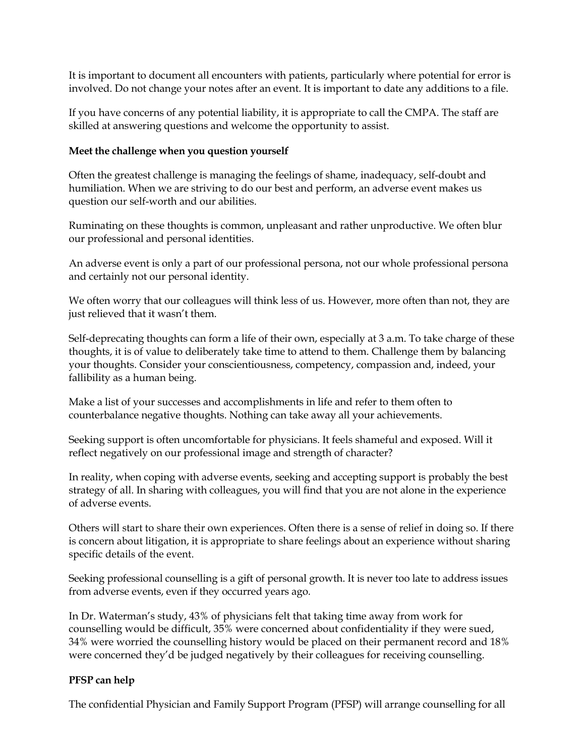It is important to document all encounters with patients, particularly where potential for error is involved. Do not change your notes after an event. It is important to date any additions to a file.

If you have concerns of any potential liability, it is appropriate to call the CMPA. The staff are skilled at answering questions and welcome the opportunity to assist.

### **Meet the challenge when you question yourself**

Often the greatest challenge is managing the feelings of shame, inadequacy, self-doubt and humiliation. When we are striving to do our best and perform, an adverse event makes us question our self-worth and our abilities.

Ruminating on these thoughts is common, unpleasant and rather unproductive. We often blur our professional and personal identities.

An adverse event is only a part of our professional persona, not our whole professional persona and certainly not our personal identity.

We often worry that our colleagues will think less of us. However, more often than not, they are just relieved that it wasn't them.

Self-deprecating thoughts can form a life of their own, especially at 3 a.m. To take charge of these thoughts, it is of value to deliberately take time to attend to them. Challenge them by balancing your thoughts. Consider your conscientiousness, competency, compassion and, indeed, your fallibility as a human being.

Make a list of your successes and accomplishments in life and refer to them often to counterbalance negative thoughts. Nothing can take away all your achievements.

Seeking support is often uncomfortable for physicians. It feels shameful and exposed. Will it reflect negatively on our professional image and strength of character?

In reality, when coping with adverse events, seeking and accepting support is probably the best strategy of all. In sharing with colleagues, you will find that you are not alone in the experience of adverse events.

Others will start to share their own experiences. Often there is a sense of relief in doing so. If there is concern about litigation, it is appropriate to share feelings about an experience without sharing specific details of the event.

Seeking professional counselling is a gift of personal growth. It is never too late to address issues from adverse events, even if they occurred years ago.

In Dr. Waterman's study, 43% of physicians felt that taking time away from work for counselling would be difficult, 35% were concerned about confidentiality if they were sued, 34% were worried the counselling history would be placed on their permanent record and 18% were concerned they'd be judged negatively by their colleagues for receiving counselling.

## **PFSP can help**

The confidential Physician and Family Support Program (PFSP) will arrange counselling for all